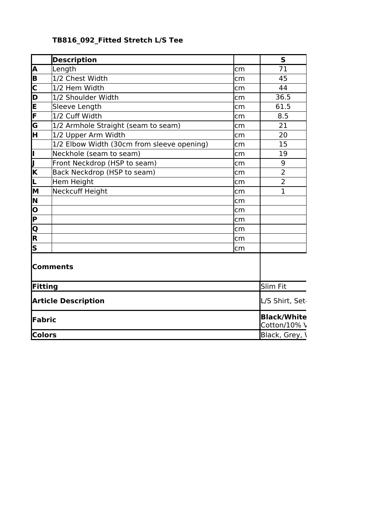|  | TB816 092 Fitted Stretch L/S Tee |  |
|--|----------------------------------|--|
|  |                                  |  |

|                         | <b>Description</b>                         |     | $\mathsf{s}$                       |
|-------------------------|--------------------------------------------|-----|------------------------------------|
| A                       | Length                                     | cm  | 71                                 |
| $\overline{\mathbf{B}}$ | 1/2 Chest Width                            | lcm | 45                                 |
| $\overline{\mathsf{c}}$ | $ 1/2$ Hem Width                           | lcm | 44                                 |
| Þ                       | 1/2 Shoulder Width                         | lcm | 36.5                               |
| $\frac{1}{\sqrt{2}}$    | Sleeve Length                              | cm  | 61.5                               |
|                         | 1/2 Cuff Width                             | lcm | 8.5                                |
| $\overline{\mathsf{G}}$ | 1/2 Armhole Straight (seam to seam)        | lcm | 21                                 |
| $\overline{\mathsf{H}}$ | 1/2 Upper Arm Width                        | lcm | 20                                 |
|                         | 1/2 Elbow Width (30cm from sleeve opening) | lcm | 15                                 |
| ļI.                     | Neckhole (seam to seam)                    | lcm | 19                                 |
| IJ                      | Front Neckdrop (HSP to seam)               | lcm | 9                                  |
| $\overline{\mathsf{K}}$ | Back Neckdrop (HSP to seam)                | cm  | $\overline{2}$                     |
| L                       | Hem Height                                 | lcm | $\overline{2}$                     |
| M                       | Neckcuff Height                            | lcm | $\mathbf{1}$                       |
| N                       |                                            | cm  |                                    |
| $\overline{\mathsf{o}}$ |                                            | lcm |                                    |
| $\overline{\mathsf{P}}$ |                                            | cm  |                                    |
| $\overline{Q}$          |                                            | lcm |                                    |
| $\overline{\mathsf{R}}$ |                                            | cm  |                                    |
| $\overline{\mathsf{s}}$ |                                            | cm  |                                    |
|                         | <b>Comments</b>                            |     |                                    |
| Fitting                 |                                            |     | Slim Fit                           |
|                         | <b>Article Description</b>                 |     | L/S Shirt, Set-                    |
| Fabric                  |                                            |     | <b>Black/White</b><br>Cotton/10% \ |
| <b>Colors</b>           |                                            |     | Black, Grey, \                     |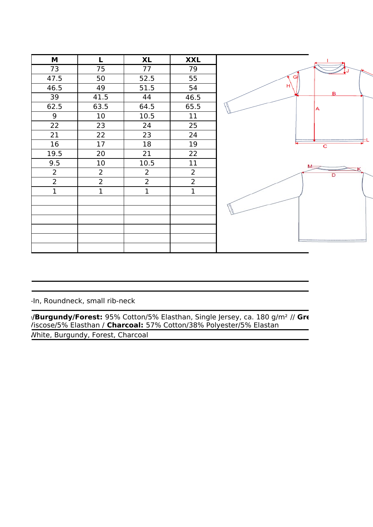

-In, Roundneck, small rib-neck

White, Burgundy, Forest, Charcoal **Burgundy/Forest:** 95% Cotton/5% Elasthan, Single Jersey, ca. 180 g/m<sup>2</sup> // Grey /iscose/5% Elasthan / Charcoal: 57% Cotton/38% Polyester/5% Elastan